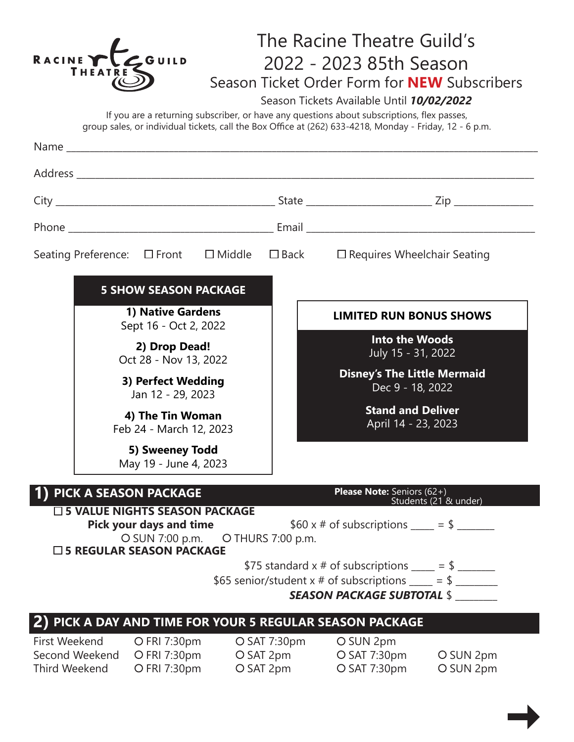| RACINE Y                              | THEATRI                                                                                                    | $C$ GUILD                                                                                                                                                                |  |                                        |                                                        | The Racine Theatre Guild's<br>2022 - 2023 85th Season<br>Season Tickets Available Until 10/02/2022<br>If you are a returning subscriber, or have any questions about subscriptions, flex passes,<br>group sales, or individual tickets, call the Box Office at (262) 633-4218, Monday - Friday, 12 - 6 p.m. | Season Ticket Order Form for <b>NEW</b> Subscribers |  |
|---------------------------------------|------------------------------------------------------------------------------------------------------------|--------------------------------------------------------------------------------------------------------------------------------------------------------------------------|--|----------------------------------------|--------------------------------------------------------|-------------------------------------------------------------------------------------------------------------------------------------------------------------------------------------------------------------------------------------------------------------------------------------------------------------|-----------------------------------------------------|--|
|                                       |                                                                                                            |                                                                                                                                                                          |  |                                        |                                                        |                                                                                                                                                                                                                                                                                                             |                                                     |  |
|                                       |                                                                                                            |                                                                                                                                                                          |  |                                        |                                                        |                                                                                                                                                                                                                                                                                                             |                                                     |  |
|                                       |                                                                                                            |                                                                                                                                                                          |  |                                        |                                                        |                                                                                                                                                                                                                                                                                                             |                                                     |  |
|                                       |                                                                                                            |                                                                                                                                                                          |  |                                        |                                                        |                                                                                                                                                                                                                                                                                                             |                                                     |  |
|                                       |                                                                                                            |                                                                                                                                                                          |  |                                        |                                                        | Seating Preference: □ Front □ Middle □ Back □ Requires Wheelchair Seating                                                                                                                                                                                                                                   |                                                     |  |
|                                       |                                                                                                            | <b>5 SHOW SEASON PACKAGE</b><br><b>1) Native Gardens</b>                                                                                                                 |  |                                        |                                                        | <b>LIMITED RUN BONUS SHOWS</b>                                                                                                                                                                                                                                                                              |                                                     |  |
|                                       | Sept 16 - Oct 2, 2022<br>2) Drop Dead!<br>Oct 28 - Nov 13, 2022<br>3) Perfect Wedding<br>Jan 12 - 29, 2023 |                                                                                                                                                                          |  |                                        |                                                        | <b>Into the Woods</b>                                                                                                                                                                                                                                                                                       |                                                     |  |
|                                       |                                                                                                            |                                                                                                                                                                          |  |                                        |                                                        | July 15 - 31, 2022                                                                                                                                                                                                                                                                                          |                                                     |  |
|                                       |                                                                                                            |                                                                                                                                                                          |  |                                        | <b>Disney's The Little Mermaid</b><br>Dec 9 - 18, 2022 |                                                                                                                                                                                                                                                                                                             |                                                     |  |
|                                       | 4) The Tin Woman<br>Feb 24 - March 12, 2023                                                                |                                                                                                                                                                          |  |                                        | <b>Stand and Deliver</b><br>April 14 - 23, 2023        |                                                                                                                                                                                                                                                                                                             |                                                     |  |
|                                       |                                                                                                            | 5) Sweeney Todd<br>May 19 - June 4, 2023                                                                                                                                 |  |                                        |                                                        |                                                                                                                                                                                                                                                                                                             |                                                     |  |
|                                       |                                                                                                            | 1) PICK A SEASON PACKAGE<br>□ 5 VALUE NIGHTS SEASON PACKAGE<br><b>Pick your days and time</b><br>O SUN 7:00 p.m. O THURS 7:00 p.m.<br>$\square$ 5 REGULAR SEASON PACKAGE |  |                                        |                                                        | Please Note: Seniors (62+)<br>\$60 x # of subscriptions ____ = \$ ______                                                                                                                                                                                                                                    | Students (21 & under)                               |  |
|                                       |                                                                                                            |                                                                                                                                                                          |  |                                        |                                                        | \$75 standard x # of subscriptions $\rule{1em}{0.15mm}$ = \$ $\rule{1.15mm}{0.15mm}$<br>\$65 senior/student x # of subscriptions $\rangle =$ \$ $\rangle$<br><b>SEASON PACKAGE SUBTOTAL \$</b>                                                                                                              |                                                     |  |
|                                       |                                                                                                            |                                                                                                                                                                          |  |                                        |                                                        | PICK A DAY AND TIME FOR YOUR 5 REGULAR SEASON PACKAGE                                                                                                                                                                                                                                                       |                                                     |  |
| First Weekend<br><b>Third Weekend</b> | Second Weekend                                                                                             | O FRI 7:30pm<br>O FRI 7:30pm<br>O FRI 7:30pm                                                                                                                             |  | O SAT 7:30pm<br>O SAT 2pm<br>O SAT 2pm |                                                        | O SUN 2pm<br>O SAT 7:30pm<br>O SAT 7:30pm                                                                                                                                                                                                                                                                   | O SUN 2pm<br>O SUN 2pm                              |  |